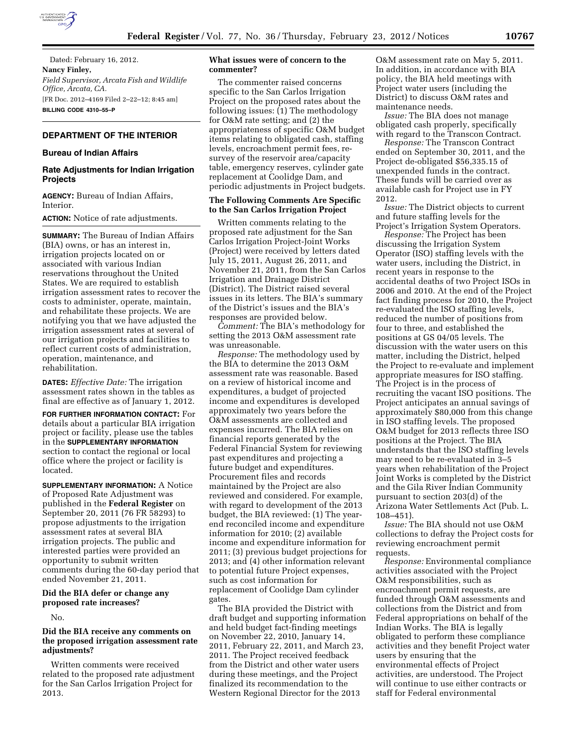

Dated: February 16, 2012. **Nancy Finley,**  *Field Supervisor, Arcata Fish and Wildlife Office, Arcata, CA.*  [FR Doc. 2012–4169 Filed 2–22–12; 8:45 am] **BILLING CODE 4310–55–P** 

## **DEPARTMENT OF THE INTERIOR**

#### **Bureau of Indian Affairs**

# **Rate Adjustments for Indian Irrigation Projects**

**AGENCY:** Bureau of Indian Affairs, Interior.

**ACTION:** Notice of rate adjustments.

**SUMMARY:** The Bureau of Indian Affairs (BIA) owns, or has an interest in, irrigation projects located on or associated with various Indian reservations throughout the United States. We are required to establish irrigation assessment rates to recover the costs to administer, operate, maintain, and rehabilitate these projects. We are notifying you that we have adjusted the irrigation assessment rates at several of our irrigation projects and facilities to reflect current costs of administration, operation, maintenance, and rehabilitation.

**DATES:** *Effective Date:* The irrigation assessment rates shown in the tables as final are effective as of January 1, 2012.

**FOR FURTHER INFORMATION CONTACT:** For details about a particular BIA irrigation project or facility, please use the tables in the **SUPPLEMENTARY INFORMATION** section to contact the regional or local office where the project or facility is located.

**SUPPLEMENTARY INFORMATION:** A Notice of Proposed Rate Adjustment was published in the **Federal Register** on September 20, 2011 (76 FR 58293) to propose adjustments to the irrigation assessment rates at several BIA irrigation projects. The public and interested parties were provided an opportunity to submit written comments during the 60-day period that ended November 21, 2011.

#### **Did the BIA defer or change any proposed rate increases?**

No.

### **Did the BIA receive any comments on the proposed irrigation assessment rate adjustments?**

Written comments were received related to the proposed rate adjustment for the San Carlos Irrigation Project for 2013.

#### **What issues were of concern to the commenter?**

The commenter raised concerns specific to the San Carlos Irrigation Project on the proposed rates about the following issues: (1) The methodology for O&M rate setting; and (2) the appropriateness of specific O&M budget items relating to obligated cash, staffing levels, encroachment permit fees, resurvey of the reservoir area/capacity table, emergency reserves, cylinder gate replacement at Coolidge Dam, and periodic adjustments in Project budgets.

#### **The Following Comments Are Specific to the San Carlos Irrigation Project**

Written comments relating to the proposed rate adjustment for the San Carlos Irrigation Project-Joint Works (Project) were received by letters dated July 15, 2011, August 26, 2011, and November 21, 2011, from the San Carlos Irrigation and Drainage District (District). The District raised several issues in its letters. The BIA's summary of the District's issues and the BIA's responses are provided below.

*Comment:* The BIA's methodology for setting the 2013 O&M assessment rate was unreasonable.

*Response:* The methodology used by the BIA to determine the 2013 O&M assessment rate was reasonable. Based on a review of historical income and expenditures, a budget of projected income and expenditures is developed approximately two years before the O&M assessments are collected and expenses incurred. The BIA relies on financial reports generated by the Federal Financial System for reviewing past expenditures and projecting a future budget and expenditures. Procurement files and records maintained by the Project are also reviewed and considered. For example, with regard to development of the 2013 budget, the BIA reviewed: (1) The yearend reconciled income and expenditure information for 2010; (2) available income and expenditure information for 2011; (3) previous budget projections for 2013; and (4) other information relevant to potential future Project expenses, such as cost information for replacement of Coolidge Dam cylinder gates.

The BIA provided the District with draft budget and supporting information and held budget fact-finding meetings on November 22, 2010, January 14, 2011, February 22, 2011, and March 23, 2011. The Project received feedback from the District and other water users during these meetings, and the Project finalized its recommendation to the Western Regional Director for the 2013

O&M assessment rate on May 5, 2011. In addition, in accordance with BIA policy, the BIA held meetings with Project water users (including the District) to discuss O&M rates and maintenance needs.

*Issue:* The BIA does not manage obligated cash properly, specifically with regard to the Transcon Contract.

*Response:* The Transcon Contract ended on September 30, 2011, and the Project de-obligated \$56,335.15 of unexpended funds in the contract. These funds will be carried over as available cash for Project use in FY 2012.

*Issue:* The District objects to current and future staffing levels for the Project's Irrigation System Operators.

*Response:* The Project has been discussing the Irrigation System Operator (ISO) staffing levels with the water users, including the District, in recent years in response to the accidental deaths of two Project ISOs in 2006 and 2010. At the end of the Project fact finding process for 2010, the Project re-evaluated the ISO staffing levels, reduced the number of positions from four to three, and established the positions at GS 04/05 levels. The discussion with the water users on this matter, including the District, helped the Project to re-evaluate and implement appropriate measures for ISO staffing. The Project is in the process of recruiting the vacant ISO positions. The Project anticipates an annual savings of approximately \$80,000 from this change in ISO staffing levels. The proposed O&M budget for 2013 reflects three ISO positions at the Project. The BIA understands that the ISO staffing levels may need to be re-evaluated in 3–5 years when rehabilitation of the Project Joint Works is completed by the District and the Gila River Indian Community pursuant to section 203(d) of the Arizona Water Settlements Act (Pub. L. 108–451).

*Issue:* The BIA should not use O&M collections to defray the Project costs for reviewing encroachment permit requests.

*Response:* Environmental compliance activities associated with the Project O&M responsibilities, such as encroachment permit requests, are funded through O&M assessments and collections from the District and from Federal appropriations on behalf of the Indian Works. The BIA is legally obligated to perform these compliance activities and they benefit Project water users by ensuring that the environmental effects of Project activities, are understood. The Project will continue to use either contracts or staff for Federal environmental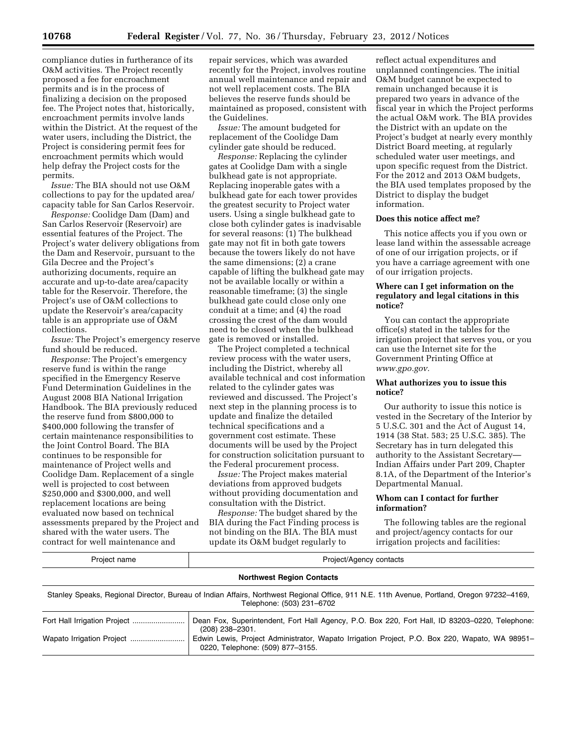compliance duties in furtherance of its O&M activities. The Project recently proposed a fee for encroachment permits and is in the process of finalizing a decision on the proposed fee. The Project notes that, historically, encroachment permits involve lands within the District. At the request of the water users, including the District, the Project is considering permit fees for encroachment permits which would help defray the Project costs for the permits.

*Issue:* The BIA should not use O&M collections to pay for the updated area/ capacity table for San Carlos Reservoir.

*Response:* Coolidge Dam (Dam) and San Carlos Reservoir (Reservoir) are essential features of the Project. The Project's water delivery obligations from the Dam and Reservoir, pursuant to the Gila Decree and the Project's authorizing documents, require an accurate and up-to-date area/capacity table for the Reservoir. Therefore, the Project's use of O&M collections to update the Reservoir's area/capacity table is an appropriate use of O&M collections.

*Issue:* The Project's emergency reserve fund should be reduced.

*Response:* The Project's emergency reserve fund is within the range specified in the Emergency Reserve Fund Determination Guidelines in the August 2008 BIA National Irrigation Handbook. The BIA previously reduced the reserve fund from \$800,000 to \$400,000 following the transfer of certain maintenance responsibilities to the Joint Control Board. The BIA continues to be responsible for maintenance of Project wells and Coolidge Dam. Replacement of a single well is projected to cost between \$250,000 and \$300,000, and well replacement locations are being evaluated now based on technical assessments prepared by the Project and shared with the water users. The contract for well maintenance and

repair services, which was awarded recently for the Project, involves routine annual well maintenance and repair and not well replacement costs. The BIA believes the reserve funds should be maintained as proposed, consistent with the Guidelines.

*Issue:* The amount budgeted for replacement of the Coolidge Dam cylinder gate should be reduced.

*Response:* Replacing the cylinder gates at Coolidge Dam with a single bulkhead gate is not appropriate. Replacing inoperable gates with a bulkhead gate for each tower provides the greatest security to Project water users. Using a single bulkhead gate to close both cylinder gates is inadvisable for several reasons: (1) The bulkhead gate may not fit in both gate towers because the towers likely do not have the same dimensions; (2) a crane capable of lifting the bulkhead gate may not be available locally or within a reasonable timeframe; (3) the single bulkhead gate could close only one conduit at a time; and (4) the road crossing the crest of the dam would need to be closed when the bulkhead gate is removed or installed.

The Project completed a technical review process with the water users, including the District, whereby all available technical and cost information related to the cylinder gates was reviewed and discussed. The Project's next step in the planning process is to update and finalize the detailed technical specifications and a government cost estimate. These documents will be used by the Project for construction solicitation pursuant to the Federal procurement process.

*Issue:* The Project makes material deviations from approved budgets without providing documentation and consultation with the District.

*Response:* The budget shared by the BIA during the Fact Finding process is not binding on the BIA. The BIA must update its O&M budget regularly to

reflect actual expenditures and unplanned contingencies. The initial O&M budget cannot be expected to remain unchanged because it is prepared two years in advance of the fiscal year in which the Project performs the actual O&M work. The BIA provides the District with an update on the Project's budget at nearly every monthly District Board meeting, at regularly scheduled water user meetings, and upon specific request from the District. For the 2012 and 2013 O&M budgets, the BIA used templates proposed by the District to display the budget information.

#### **Does this notice affect me?**

This notice affects you if you own or lease land within the assessable acreage of one of our irrigation projects, or if you have a carriage agreement with one of our irrigation projects.

# **Where can I get information on the regulatory and legal citations in this notice?**

You can contact the appropriate office(s) stated in the tables for the irrigation project that serves you, or you can use the Internet site for the Government Printing Office at *www.gpo.gov.* 

#### **What authorizes you to issue this notice?**

Our authority to issue this notice is vested in the Secretary of the Interior by 5 U.S.C. 301 and the Act of August 14, 1914 (38 Stat. 583; 25 U.S.C. 385). The Secretary has in turn delegated this authority to the Assistant Secretary— Indian Affairs under Part 209, Chapter 8.1A, of the Department of the Interior's Departmental Manual.

# **Whom can I contact for further information?**

The following tables are the regional and project/agency contacts for our irrigation projects and facilities:

| Project name                                                                                                                                                            | Project/Agency contacts                                                                                                            |  |  |  |  |  |
|-------------------------------------------------------------------------------------------------------------------------------------------------------------------------|------------------------------------------------------------------------------------------------------------------------------------|--|--|--|--|--|
| <b>Northwest Region Contacts</b>                                                                                                                                        |                                                                                                                                    |  |  |  |  |  |
| Stanley Speaks, Regional Director, Bureau of Indian Affairs, Northwest Regional Office, 911 N.E. 11th Avenue, Portland, Oregon 97232–4169,<br>Telephone: (503) 231-6702 |                                                                                                                                    |  |  |  |  |  |
|                                                                                                                                                                         | Dean Fox, Superintendent, Fort Hall Agency, P.O. Box 220, Fort Hall, ID 83203-0220, Telephone:<br>$(208)$ 238-2301.                |  |  |  |  |  |
|                                                                                                                                                                         | Edwin Lewis, Project Administrator, Wapato Irrigation Project, P.O. Box 220, Wapato, WA 98951-<br>0220, Telephone: (509) 877-3155. |  |  |  |  |  |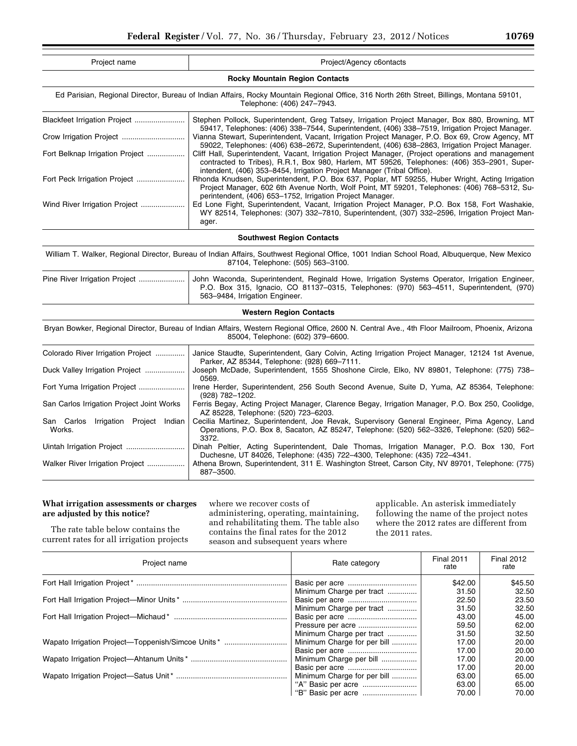| Project name                                   | Project/Agency c6ontacts                                                                                                                                                                                                                                                    |  |  |  |  |  |
|------------------------------------------------|-----------------------------------------------------------------------------------------------------------------------------------------------------------------------------------------------------------------------------------------------------------------------------|--|--|--|--|--|
|                                                | <b>Rocky Mountain Region Contacts</b>                                                                                                                                                                                                                                       |  |  |  |  |  |
|                                                | Ed Parisian, Regional Director, Bureau of Indian Affairs, Rocky Mountain Regional Office, 316 North 26th Street, Billings, Montana 59101,<br>Telephone: (406) 247-7943.                                                                                                     |  |  |  |  |  |
| Blackfeet Irrigation Project                   | Stephen Pollock, Superintendent, Greg Tatsey, Irrigation Project Manager, Box 880, Browning, MT<br>59417, Telephones: (406) 338-7544, Superintendent, (406) 338-7519, Irrigation Project Manager.                                                                           |  |  |  |  |  |
|                                                | Vianna Stewart, Superintendent, Vacant, Irrigation Project Manager, P.O. Box 69, Crow Agency, MT<br>59022, Telephones: (406) 638-2672, Superintendent, (406) 638-2863, Irrigation Project Manager.                                                                          |  |  |  |  |  |
| Fort Belknap Irrigation Project                | Cliff Hall, Superintendent, Vacant, Irrigation Project Manager, (Project operations and management<br>contracted to Tribes), R.R.1, Box 980, Harlem, MT 59526, Telephones: (406) 353-2901, Super-<br>intendent, (406) 353-8454, Irrigation Project Manager (Tribal Office). |  |  |  |  |  |
| Fort Peck Irrigation Project                   | Rhonda Knudsen, Superintendent, P.O. Box 637, Poplar, MT 59255, Huber Wright, Acting Irrigation<br>Project Manager, 602 6th Avenue North, Wolf Point, MT 59201, Telephones: (406) 768-5312, Su-<br>perintendent, (406) 653-1752, Irrigation Project Manager.                |  |  |  |  |  |
| Wind River Irrigation Project                  | Ed Lone Fight, Superintendent, Vacant, Irrigation Project Manager, P.O. Box 158, Fort Washakie,<br>WY 82514, Telephones: (307) 332-7810, Superintendent, (307) 332-2596, Irrigation Project Man-<br>ager.                                                                   |  |  |  |  |  |
|                                                | <b>Southwest Region Contacts</b>                                                                                                                                                                                                                                            |  |  |  |  |  |
|                                                | William T. Walker, Regional Director, Bureau of Indian Affairs, Southwest Regional Office, 1001 Indian School Road, Albuquerque, New Mexico<br>87104, Telephone: (505) 563-3100.                                                                                            |  |  |  |  |  |
| Pine River Irrigation Project                  | John Waconda, Superintendent, Reginald Howe, Irrigation Systems Operator, Irrigation Engineer,<br>P.O. Box 315, Ignacio, CO 81137-0315, Telephones: (970) 563-4511, Superintendent, (970)<br>563-9484, Irrigation Engineer.                                                 |  |  |  |  |  |
|                                                | <b>Western Region Contacts</b>                                                                                                                                                                                                                                              |  |  |  |  |  |
|                                                | Bryan Bowker, Regional Director, Bureau of Indian Affairs, Western Regional Office, 2600 N. Central Ave., 4th Floor Mailroom, Phoenix, Arizona<br>85004, Telephone: (602) 379-6600.                                                                                         |  |  |  |  |  |
| Colorado River Irrigation Project              | Janice Staudte, Superintendent, Gary Colvin, Acting Irrigation Project Manager, 12124 1st Avenue,<br>Parker, AZ 85344, Telephone: (928) 669-7111.                                                                                                                           |  |  |  |  |  |
| Duck Valley Irrigation Project                 | Joseph McDade, Superintendent, 1555 Shoshone Circle, Elko, NV 89801, Telephone: (775) 738-<br>0569.                                                                                                                                                                         |  |  |  |  |  |
| Fort Yuma Irrigation Project                   | Irene Herder, Superintendent, 256 South Second Avenue, Suite D, Yuma, AZ 85364, Telephone:<br>(928) 782-1202.                                                                                                                                                               |  |  |  |  |  |
| San Carlos Irrigation Project Joint Works      | Ferris Begay, Acting Project Manager, Clarence Begay, Irrigation Manager, P.O. Box 250, Coolidge,<br>AZ 85228, Telephone: (520) 723-6203.                                                                                                                                   |  |  |  |  |  |
| San Carlos Irrigation Project Indian<br>Works. | Cecilia Martinez, Superintendent, Joe Revak, Supervisory General Engineer, Pima Agency, Land<br>Operations, P.O. Box 8, Sacaton, AZ 85247, Telephone: (520) 562-3326, Telephone: (520) 562-<br>3372.                                                                        |  |  |  |  |  |
|                                                | Dinah Peltier, Acting Superintendent, Dale Thomas, Irrigation Manager, P.O. Box 130, Fort<br>Duchesne, UT 84026, Telephone: (435) 722-4300, Telephone: (435) 722-4341.                                                                                                      |  |  |  |  |  |
| Walker River Irrigation Project                | Athena Brown, Superintendent, 311 E. Washington Street, Carson City, NV 89701, Telephone: (775)<br>887-3500.                                                                                                                                                                |  |  |  |  |  |

# **What irrigation assessments or charges are adjusted by this notice?**

The rate table below contains the current rates for all irrigation projects where we recover costs of administering, operating, maintaining, and rehabilitating them. The table also contains the final rates for the 2012 season and subsequent years where

applicable. An asterisk immediately following the name of the project notes where the 2012 rates are different from the 2011 rates.

| Project name                                      | Rate category               | <b>Final 2011</b><br>rate | <b>Final 2012</b><br>rate |  |
|---------------------------------------------------|-----------------------------|---------------------------|---------------------------|--|
|                                                   |                             | \$42.00                   | \$45.50                   |  |
|                                                   | Minimum Charge per tract    | 31.50                     | 32.50                     |  |
|                                                   |                             | 22.50                     | 23.50                     |  |
|                                                   | Minimum Charge per tract    | 31.50                     | 32.50                     |  |
|                                                   |                             | 43.00                     | 45.00                     |  |
|                                                   |                             | 59.50                     | 62.00                     |  |
|                                                   | Minimum Charge per tract    | 31.50                     | 32.50                     |  |
| Wapato Irrigation Project—Toppenish/Simcoe Units* | Minimum Charge for per bill | 17.00                     | 20.00                     |  |
|                                                   |                             | 17.00                     | 20.00                     |  |
|                                                   | Minimum Charge per bill     | 17.00                     | 20.00                     |  |
|                                                   |                             | 17.00                     | 20.00                     |  |
|                                                   | Minimum Charge for per bill | 63.00                     | 65.00                     |  |
|                                                   |                             | 63.00                     | 65.00                     |  |
|                                                   |                             | 70.00                     | 70.00                     |  |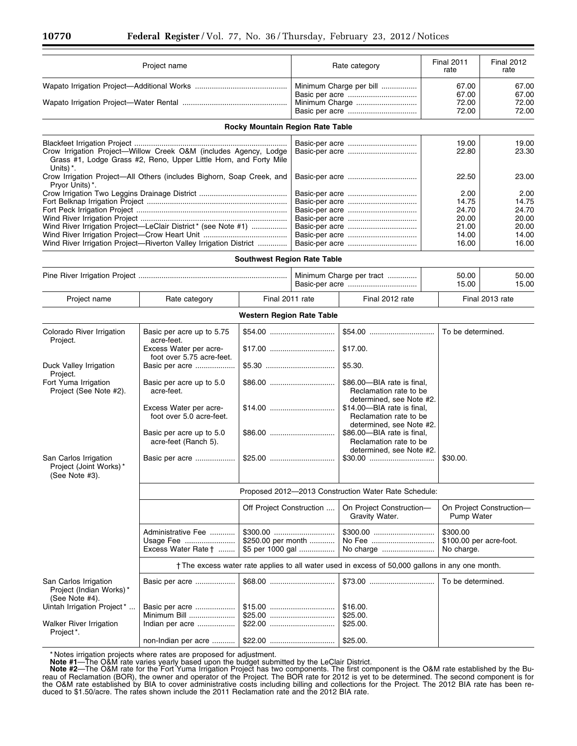| Project name                                                       |                                                                                                                                       |                                        |                         | Rate category                                                                                   | <b>Final 2011</b> | <b>Final 2012</b>                      |  |
|--------------------------------------------------------------------|---------------------------------------------------------------------------------------------------------------------------------------|----------------------------------------|-------------------------|-------------------------------------------------------------------------------------------------|-------------------|----------------------------------------|--|
|                                                                    |                                                                                                                                       |                                        |                         |                                                                                                 | rate              | rate                                   |  |
|                                                                    |                                                                                                                                       |                                        | Minimum Charge per bill |                                                                                                 | 67.00             | 67.00                                  |  |
|                                                                    |                                                                                                                                       |                                        |                         | Minimum Charge                                                                                  | 67.00<br>72.00    | 67.00<br>72.00                         |  |
|                                                                    |                                                                                                                                       |                                        |                         |                                                                                                 | 72.00             | 72.00                                  |  |
|                                                                    |                                                                                                                                       | Rocky Mountain Region Rate Table       |                         |                                                                                                 |                   |                                        |  |
|                                                                    |                                                                                                                                       |                                        |                         |                                                                                                 | 19.00             | 19.00                                  |  |
| Units) *.                                                          | Crow Irrigation Project-Willow Creek O&M (includes Agency, Lodge<br>Grass #1, Lodge Grass #2, Reno, Upper Little Horn, and Forty Mile |                                        |                         |                                                                                                 | 22.80             | 23.30                                  |  |
| Pryor Units) *.                                                    | Crow Irrigation Project-All Others (includes Bighorn, Soap Creek, and                                                                 |                                        |                         |                                                                                                 | 22.50             | 23.00                                  |  |
|                                                                    |                                                                                                                                       |                                        |                         |                                                                                                 | 2.00              | 2.00                                   |  |
|                                                                    |                                                                                                                                       |                                        |                         |                                                                                                 | 14.75<br>24.70    | 14.75<br>24.70                         |  |
|                                                                    |                                                                                                                                       |                                        |                         |                                                                                                 | 20.00             | 20.00                                  |  |
|                                                                    | Wind River Irrigation Project-LeClair District* (see Note #1)                                                                         |                                        |                         |                                                                                                 | 21.00             | 20.00                                  |  |
|                                                                    |                                                                                                                                       |                                        |                         |                                                                                                 | 14.00             | 14.00                                  |  |
|                                                                    | Wind River Irrigation Project-Riverton Valley Irrigation District                                                                     |                                        |                         |                                                                                                 | 16.00             | 16.00                                  |  |
|                                                                    |                                                                                                                                       | <b>Southwest Region Rate Table</b>     |                         |                                                                                                 |                   |                                        |  |
|                                                                    |                                                                                                                                       |                                        |                         | Minimum Charge per tract                                                                        | 50.00<br>15.00    | 50.00<br>15.00                         |  |
| Project name                                                       | Rate category                                                                                                                         | Final 2011 rate                        |                         | Final 2012 rate                                                                                 |                   | Final 2013 rate                        |  |
|                                                                    |                                                                                                                                       | <b>Western Region Rate Table</b>       |                         |                                                                                                 |                   |                                        |  |
| Colorado River Irrigation                                          | Basic per acre up to 5.75<br>acre-feet.                                                                                               |                                        |                         |                                                                                                 | To be determined. |                                        |  |
| Project.                                                           | Excess Water per acre-<br>foot over 5.75 acre-feet.                                                                                   |                                        |                         | \$17.00.                                                                                        |                   |                                        |  |
| Duck Valley Irrigation<br>Project.                                 | Basic per acre                                                                                                                        |                                        |                         | \$5.30.                                                                                         |                   |                                        |  |
| Fort Yuma Irrigation<br>Project (See Note #2).                     | Basic per acre up to 5.0<br>acre-feet.                                                                                                |                                        |                         | \$86.00-BIA rate is final,<br>Reclamation rate to be                                            |                   |                                        |  |
|                                                                    | Excess Water per acre-<br>foot over 5.0 acre-feet.                                                                                    |                                        |                         | determined, see Note #2.<br>\$14.00-BIA rate is final,<br>Reclamation rate to be                |                   |                                        |  |
|                                                                    | Basic per acre up to 5.0<br>acre-feet (Ranch 5).                                                                                      |                                        |                         | determined, see Note #2.<br>\$86.00-BIA rate is final,<br>Reclamation rate to be                |                   |                                        |  |
| San Carlos Irrigation<br>Project (Joint Works)*<br>(See Note #3).  | Basic per acre                                                                                                                        |                                        |                         | determined, see Note #2.                                                                        | \$30.00.          |                                        |  |
|                                                                    |                                                                                                                                       |                                        |                         | Proposed 2012-2013 Construction Water Rate Schedule:                                            |                   |                                        |  |
|                                                                    |                                                                                                                                       | Off Project Construction               |                         | On Project Construction-<br>Gravity Water.                                                      |                   | On Project Construction-<br>Pump Water |  |
|                                                                    | Administrative Fee<br>Usage Fee<br>Excess Water Rate                                                                                  | \$250.00 per month<br>\$5 per 1000 gal |                         | No Fee<br>No charge                                                                             | \$300.00          | \$100.00 per acre-foot.<br>No charge.  |  |
|                                                                    |                                                                                                                                       |                                        |                         | † The excess water rate applies to all water used in excess of 50,000 gallons in any one month. |                   |                                        |  |
| San Carlos Irrigation<br>Project (Indian Works)*<br>(See Note #4). | Basic per acre                                                                                                                        |                                        |                         | $$73.00$                                                                                        | To be determined. |                                        |  |
| Uintah Irrigation Project*                                         | Basic per acre                                                                                                                        |                                        |                         | \$16.00.                                                                                        |                   |                                        |  |
|                                                                    | Minimum Bill                                                                                                                          |                                        |                         | \$25.00.                                                                                        |                   |                                        |  |
| Walker River Irrigation<br>Project*.                               | Indian per acre                                                                                                                       |                                        |                         | \$25.00.                                                                                        |                   |                                        |  |
|                                                                    | non-Indian per acre                                                                                                                   |                                        |                         | \$25.00.                                                                                        |                   |                                        |  |

\* Notes irrigation projects where rates are proposed for adjustment.<br>**Note #1**—The O&M rate varies yearly based upon the budget submitted by the LeClair District.<br>**Note #2**—The O&M rate for the Fort Yuma Irrigation Project reau of Reclamation (BOR), the owner and operator of the Project. The BOR rate for 2012 is yet to be determined. The second component is for the O&M rate established by BIA to cover administrative costs including billing and collections for the Project. The 2012 BIA rate has been reduced to \$1.50/acre. The rates shown include the 2011 Reclamation rate and the 2012 BIA rate.